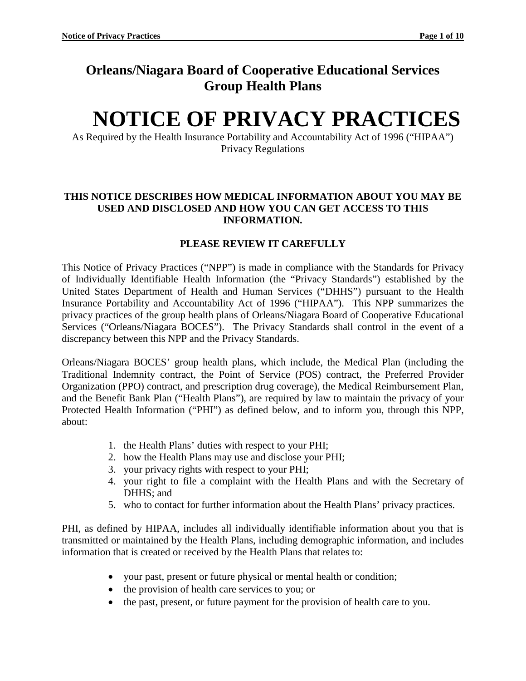# **Orleans/Niagara Board of Cooperative Educational Services Group Health Plans**

# **NOTICE OF PRIVACY PRACTICES**

As Required by the Health Insurance Portability and Accountability Act of 1996 ("HIPAA") Privacy Regulations

#### **THIS NOTICE DESCRIBES HOW MEDICAL INFORMATION ABOUT YOU MAY BE USED AND DISCLOSED AND HOW YOU CAN GET ACCESS TO THIS INFORMATION.**

# **PLEASE REVIEW IT CAREFULLY**

This Notice of Privacy Practices ("NPP") is made in compliance with the Standards for Privacy of Individually Identifiable Health Information (the "Privacy Standards") established by the United States Department of Health and Human Services ("DHHS") pursuant to the Health Insurance Portability and Accountability Act of 1996 ("HIPAA"). This NPP summarizes the privacy practices of the group health plans of Orleans/Niagara Board of Cooperative Educational Services ("Orleans/Niagara BOCES"). The Privacy Standards shall control in the event of a discrepancy between this NPP and the Privacy Standards.

Orleans/Niagara BOCES' group health plans, which include, the Medical Plan (including the Traditional Indemnity contract, the Point of Service (POS) contract, the Preferred Provider Organization (PPO) contract, and prescription drug coverage), the Medical Reimbursement Plan, and the Benefit Bank Plan ("Health Plans"), are required by law to maintain the privacy of your Protected Health Information ("PHI") as defined below, and to inform you, through this NPP, about:

- 1. the Health Plans' duties with respect to your PHI;
- 2. how the Health Plans may use and disclose your PHI;
- 3. your privacy rights with respect to your PHI;
- 4. your right to file a complaint with the Health Plans and with the Secretary of DHHS; and
- 5. who to contact for further information about the Health Plans' privacy practices.

PHI, as defined by HIPAA, includes all individually identifiable information about you that is transmitted or maintained by the Health Plans, including demographic information, and includes information that is created or received by the Health Plans that relates to:

- your past, present or future physical or mental health or condition;
- the provision of health care services to you; or
- the past, present, or future payment for the provision of health care to you.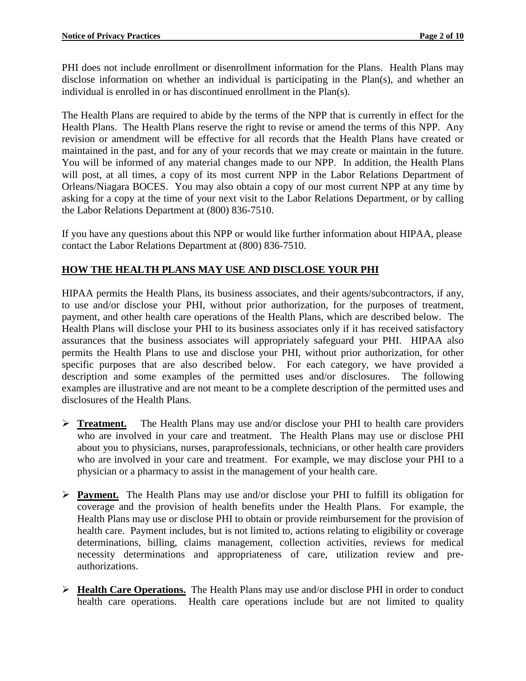PHI does not include enrollment or disenrollment information for the Plans. Health Plans may disclose information on whether an individual is participating in the Plan(s), and whether an individual is enrolled in or has discontinued enrollment in the Plan(s).

The Health Plans are required to abide by the terms of the NPP that is currently in effect for the Health Plans. The Health Plans reserve the right to revise or amend the terms of this NPP. Any revision or amendment will be effective for all records that the Health Plans have created or maintained in the past, and for any of your records that we may create or maintain in the future. You will be informed of any material changes made to our NPP. In addition, the Health Plans will post, at all times, a copy of its most current NPP in the Labor Relations Department of Orleans/Niagara BOCES. You may also obtain a copy of our most current NPP at any time by asking for a copy at the time of your next visit to the Labor Relations Department, or by calling the Labor Relations Department at (800) 836-7510.

If you have any questions about this NPP or would like further information about HIPAA, please contact the Labor Relations Department at (800) 836-7510.

### **HOW THE HEALTH PLANS MAY USE AND DISCLOSE YOUR PHI**

HIPAA permits the Health Plans, its business associates, and their agents/subcontractors, if any, to use and/or disclose your PHI, without prior authorization, for the purposes of treatment, payment, and other health care operations of the Health Plans, which are described below. The Health Plans will disclose your PHI to its business associates only if it has received satisfactory assurances that the business associates will appropriately safeguard your PHI. HIPAA also permits the Health Plans to use and disclose your PHI, without prior authorization, for other specific purposes that are also described below. For each category, we have provided a description and some examples of the permitted uses and/or disclosures. The following examples are illustrative and are not meant to be a complete description of the permitted uses and disclosures of the Health Plans.

- **Treatment.** The Health Plans may use and/or disclose your PHI to health care providers who are involved in your care and treatment. The Health Plans may use or disclose PHI about you to physicians, nurses, paraprofessionals, technicians, or other health care providers who are involved in your care and treatment. For example, we may disclose your PHI to a physician or a pharmacy to assist in the management of your health care.
- **Payment.** The Health Plans may use and/or disclose your PHI to fulfill its obligation for coverage and the provision of health benefits under the Health Plans. For example, the Health Plans may use or disclose PHI to obtain or provide reimbursement for the provision of health care. Payment includes, but is not limited to, actions relating to eligibility or coverage determinations, billing, claims management, collection activities, reviews for medical necessity determinations and appropriateness of care, utilization review and preauthorizations.
- **Health Care Operations.** The Health Plans may use and/or disclose PHI in order to conduct health care operations. Health care operations include but are not limited to quality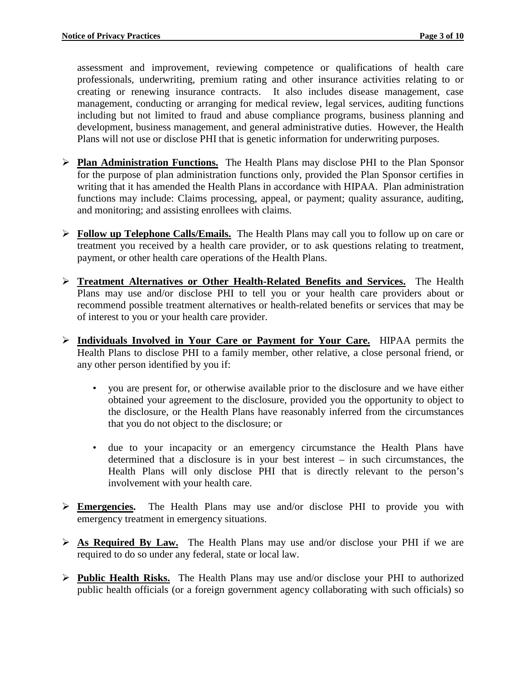assessment and improvement, reviewing competence or qualifications of health care professionals, underwriting, premium rating and other insurance activities relating to or creating or renewing insurance contracts. It also includes disease management, case management, conducting or arranging for medical review, legal services, auditing functions including but not limited to fraud and abuse compliance programs, business planning and development, business management, and general administrative duties. However, the Health Plans will not use or disclose PHI that is genetic information for underwriting purposes.

- **Plan Administration Functions.** The Health Plans may disclose PHI to the Plan Sponsor for the purpose of plan administration functions only, provided the Plan Sponsor certifies in writing that it has amended the Health Plans in accordance with HIPAA. Plan administration functions may include: Claims processing, appeal, or payment; quality assurance, auditing, and monitoring; and assisting enrollees with claims.
- **Follow up Telephone Calls/Emails.** The Health Plans may call you to follow up on care or treatment you received by a health care provider, or to ask questions relating to treatment, payment, or other health care operations of the Health Plans.
- **Treatment Alternatives or Other Health-Related Benefits and Services.** The Health Plans may use and/or disclose PHI to tell you or your health care providers about or recommend possible treatment alternatives or health-related benefits or services that may be of interest to you or your health care provider.
- **Individuals Involved in Your Care or Payment for Your Care.** HIPAA permits the Health Plans to disclose PHI to a family member, other relative, a close personal friend, or any other person identified by you if:
	- you are present for, or otherwise available prior to the disclosure and we have either obtained your agreement to the disclosure, provided you the opportunity to object to the disclosure, or the Health Plans have reasonably inferred from the circumstances that you do not object to the disclosure; or
	- due to your incapacity or an emergency circumstance the Health Plans have determined that a disclosure is in your best interest – in such circumstances, the Health Plans will only disclose PHI that is directly relevant to the person's involvement with your health care.
- **Emergencies.** The Health Plans may use and/or disclose PHI to provide you with emergency treatment in emergency situations.
- **As Required By Law.** The Health Plans may use and/or disclose your PHI if we are required to do so under any federal, state or local law.
- **Public Health Risks.** The Health Plans may use and/or disclose your PHI to authorized public health officials (or a foreign government agency collaborating with such officials) so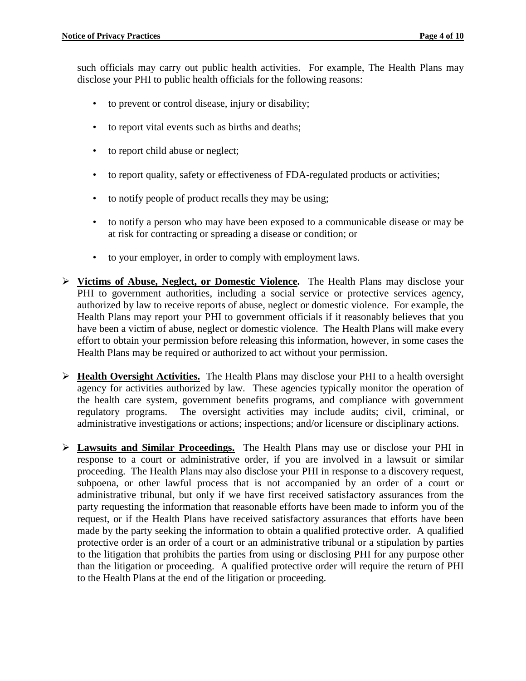such officials may carry out public health activities. For example, The Health Plans may disclose your PHI to public health officials for the following reasons:

- to prevent or control disease, injury or disability;
- to report vital events such as births and deaths;
- to report child abuse or neglect;
- to report quality, safety or effectiveness of FDA-regulated products or activities;
- to notify people of product recalls they may be using;
- to notify a person who may have been exposed to a communicable disease or may be at risk for contracting or spreading a disease or condition; or
- to your employer, in order to comply with employment laws.
- **Victims of Abuse, Neglect, or Domestic Violence.** The Health Plans may disclose your PHI to government authorities, including a social service or protective services agency, authorized by law to receive reports of abuse, neglect or domestic violence. For example, the Health Plans may report your PHI to government officials if it reasonably believes that you have been a victim of abuse, neglect or domestic violence. The Health Plans will make every effort to obtain your permission before releasing this information, however, in some cases the Health Plans may be required or authorized to act without your permission.
- **Health Oversight Activities.** The Health Plans may disclose your PHI to a health oversight agency for activities authorized by law. These agencies typically monitor the operation of the health care system, government benefits programs, and compliance with government regulatory programs. The oversight activities may include audits; civil, criminal, or administrative investigations or actions; inspections; and/or licensure or disciplinary actions.
- **Lawsuits and Similar Proceedings.** The Health Plans may use or disclose your PHI in response to a court or administrative order, if you are involved in a lawsuit or similar proceeding. The Health Plans may also disclose your PHI in response to a discovery request, subpoena, or other lawful process that is not accompanied by an order of a court or administrative tribunal, but only if we have first received satisfactory assurances from the party requesting the information that reasonable efforts have been made to inform you of the request, or if the Health Plans have received satisfactory assurances that efforts have been made by the party seeking the information to obtain a qualified protective order. A qualified protective order is an order of a court or an administrative tribunal or a stipulation by parties to the litigation that prohibits the parties from using or disclosing PHI for any purpose other than the litigation or proceeding. A qualified protective order will require the return of PHI to the Health Plans at the end of the litigation or proceeding.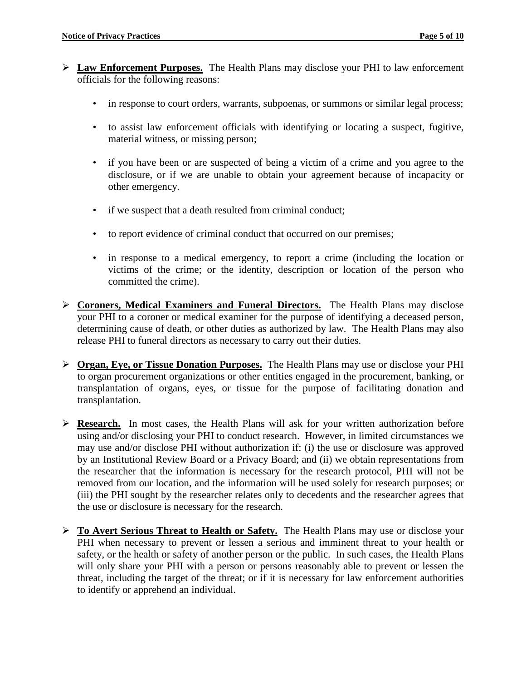- **Law Enforcement Purposes.** The Health Plans may disclose your PHI to law enforcement officials for the following reasons:
	- in response to court orders, warrants, subpoenas, or summons or similar legal process;
	- to assist law enforcement officials with identifying or locating a suspect, fugitive, material witness, or missing person;
	- if you have been or are suspected of being a victim of a crime and you agree to the disclosure, or if we are unable to obtain your agreement because of incapacity or other emergency.
	- if we suspect that a death resulted from criminal conduct;
	- to report evidence of criminal conduct that occurred on our premises;
	- in response to a medical emergency, to report a crime (including the location or victims of the crime; or the identity, description or location of the person who committed the crime).
- **Coroners, Medical Examiners and Funeral Directors.** The Health Plans may disclose your PHI to a coroner or medical examiner for the purpose of identifying a deceased person, determining cause of death, or other duties as authorized by law. The Health Plans may also release PHI to funeral directors as necessary to carry out their duties.
- **Organ, Eye, or Tissue Donation Purposes.** The Health Plans may use or disclose your PHI to organ procurement organizations or other entities engaged in the procurement, banking, or transplantation of organs, eyes, or tissue for the purpose of facilitating donation and transplantation.
- **Research.** In most cases, the Health Plans will ask for your written authorization before using and/or disclosing your PHI to conduct research. However, in limited circumstances we may use and/or disclose PHI without authorization if: (i) the use or disclosure was approved by an Institutional Review Board or a Privacy Board; and (ii) we obtain representations from the researcher that the information is necessary for the research protocol, PHI will not be removed from our location, and the information will be used solely for research purposes; or (iii) the PHI sought by the researcher relates only to decedents and the researcher agrees that the use or disclosure is necessary for the research.
- **To Avert Serious Threat to Health or Safety.** The Health Plans may use or disclose your PHI when necessary to prevent or lessen a serious and imminent threat to your health or safety, or the health or safety of another person or the public. In such cases, the Health Plans will only share your PHI with a person or persons reasonably able to prevent or lessen the threat, including the target of the threat; or if it is necessary for law enforcement authorities to identify or apprehend an individual.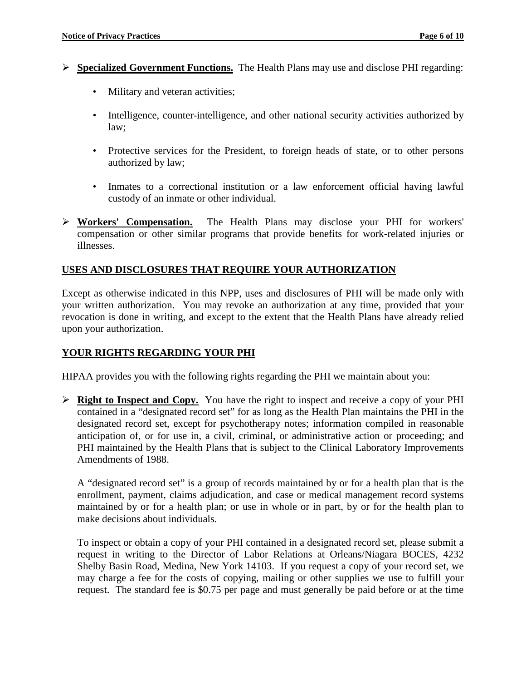- **Specialized Government Functions.** The Health Plans may use and disclose PHI regarding:
	- Military and veteran activities;
	- Intelligence, counter-intelligence, and other national security activities authorized by law;
	- Protective services for the President, to foreign heads of state, or to other persons authorized by law;
	- Inmates to a correctional institution or a law enforcement official having lawful custody of an inmate or other individual.
- **Workers' Compensation.** The Health Plans may disclose your PHI for workers' compensation or other similar programs that provide benefits for work-related injuries or illnesses.

#### **USES AND DISCLOSURES THAT REQUIRE YOUR AUTHORIZATION**

Except as otherwise indicated in this NPP, uses and disclosures of PHI will be made only with your written authorization. You may revoke an authorization at any time, provided that your revocation is done in writing, and except to the extent that the Health Plans have already relied upon your authorization.

#### **YOUR RIGHTS REGARDING YOUR PHI**

HIPAA provides you with the following rights regarding the PHI we maintain about you:

 **Right to Inspect and Copy.** You have the right to inspect and receive a copy of your PHI contained in a "designated record set" for as long as the Health Plan maintains the PHI in the designated record set, except for psychotherapy notes; information compiled in reasonable anticipation of, or for use in, a civil, criminal, or administrative action or proceeding; and PHI maintained by the Health Plans that is subject to the Clinical Laboratory Improvements Amendments of 1988.

A "designated record set" is a group of records maintained by or for a health plan that is the enrollment, payment, claims adjudication, and case or medical management record systems maintained by or for a health plan; or use in whole or in part, by or for the health plan to make decisions about individuals.

To inspect or obtain a copy of your PHI contained in a designated record set, please submit a request in writing to the Director of Labor Relations at Orleans/Niagara BOCES, 4232 Shelby Basin Road, Medina, New York 14103. If you request a copy of your record set, we may charge a fee for the costs of copying, mailing or other supplies we use to fulfill your request. The standard fee is \$0.75 per page and must generally be paid before or at the time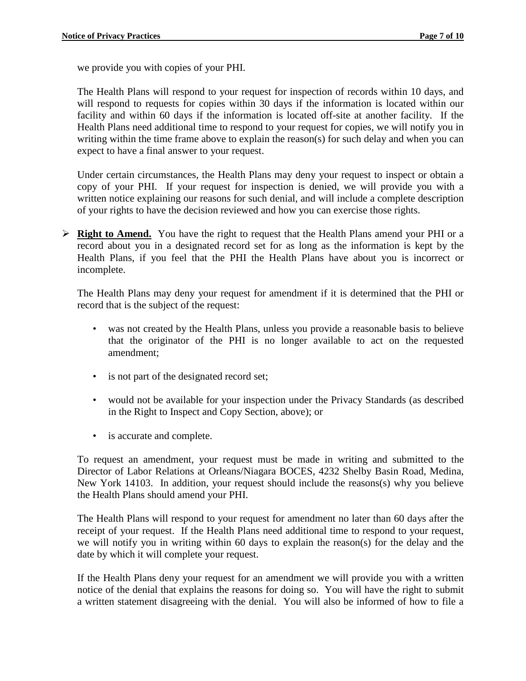we provide you with copies of your PHI.

The Health Plans will respond to your request for inspection of records within 10 days, and will respond to requests for copies within 30 days if the information is located within our facility and within 60 days if the information is located off-site at another facility. If the Health Plans need additional time to respond to your request for copies, we will notify you in writing within the time frame above to explain the reason(s) for such delay and when you can expect to have a final answer to your request.

Under certain circumstances, the Health Plans may deny your request to inspect or obtain a copy of your PHI. If your request for inspection is denied, we will provide you with a written notice explaining our reasons for such denial, and will include a complete description of your rights to have the decision reviewed and how you can exercise those rights.

 **Right to Amend.** You have the right to request that the Health Plans amend your PHI or a record about you in a designated record set for as long as the information is kept by the Health Plans, if you feel that the PHI the Health Plans have about you is incorrect or incomplete.

The Health Plans may deny your request for amendment if it is determined that the PHI or record that is the subject of the request:

- was not created by the Health Plans, unless you provide a reasonable basis to believe that the originator of the PHI is no longer available to act on the requested amendment;
- is not part of the designated record set;
- would not be available for your inspection under the Privacy Standards (as described in the Right to Inspect and Copy Section, above); or
- is accurate and complete.

To request an amendment, your request must be made in writing and submitted to the Director of Labor Relations at Orleans/Niagara BOCES, 4232 Shelby Basin Road, Medina, New York 14103. In addition, your request should include the reasons(s) why you believe the Health Plans should amend your PHI.

The Health Plans will respond to your request for amendment no later than 60 days after the receipt of your request. If the Health Plans need additional time to respond to your request, we will notify you in writing within 60 days to explain the reason(s) for the delay and the date by which it will complete your request.

If the Health Plans deny your request for an amendment we will provide you with a written notice of the denial that explains the reasons for doing so. You will have the right to submit a written statement disagreeing with the denial. You will also be informed of how to file a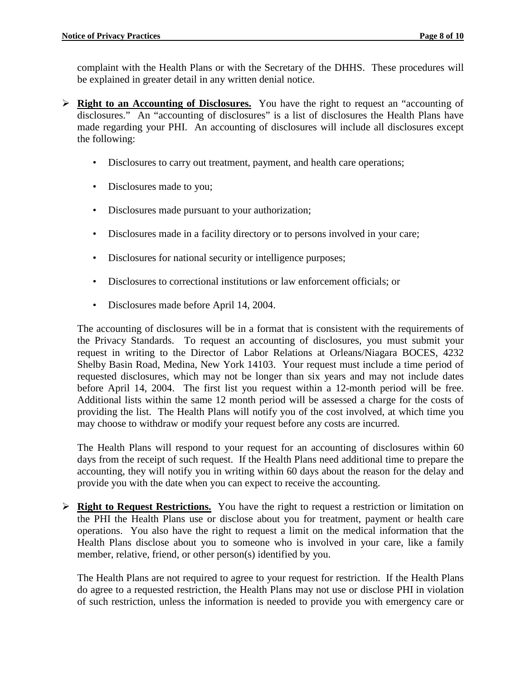complaint with the Health Plans or with the Secretary of the DHHS. These procedures will be explained in greater detail in any written denial notice.

- **Right to an Accounting of Disclosures.** You have the right to request an "accounting of disclosures." An "accounting of disclosures" is a list of disclosures the Health Plans have made regarding your PHI. An accounting of disclosures will include all disclosures except the following:
	- Disclosures to carry out treatment, payment, and health care operations;
	- Disclosures made to you;
	- Disclosures made pursuant to your authorization;
	- Disclosures made in a facility directory or to persons involved in your care;
	- Disclosures for national security or intelligence purposes;
	- Disclosures to correctional institutions or law enforcement officials; or
	- Disclosures made before April 14, 2004.

The accounting of disclosures will be in a format that is consistent with the requirements of the Privacy Standards. To request an accounting of disclosures, you must submit your request in writing to the Director of Labor Relations at Orleans/Niagara BOCES, 4232 Shelby Basin Road, Medina, New York 14103. Your request must include a time period of requested disclosures, which may not be longer than six years and may not include dates before April 14, 2004. The first list you request within a 12-month period will be free. Additional lists within the same 12 month period will be assessed a charge for the costs of providing the list. The Health Plans will notify you of the cost involved, at which time you may choose to withdraw or modify your request before any costs are incurred.

The Health Plans will respond to your request for an accounting of disclosures within 60 days from the receipt of such request. If the Health Plans need additional time to prepare the accounting, they will notify you in writing within 60 days about the reason for the delay and provide you with the date when you can expect to receive the accounting.

 **Right to Request Restrictions.** You have the right to request a restriction or limitation on the PHI the Health Plans use or disclose about you for treatment, payment or health care operations. You also have the right to request a limit on the medical information that the Health Plans disclose about you to someone who is involved in your care, like a family member, relative, friend, or other person(s) identified by you.

The Health Plans are not required to agree to your request for restriction. If the Health Plans do agree to a requested restriction, the Health Plans may not use or disclose PHI in violation of such restriction, unless the information is needed to provide you with emergency care or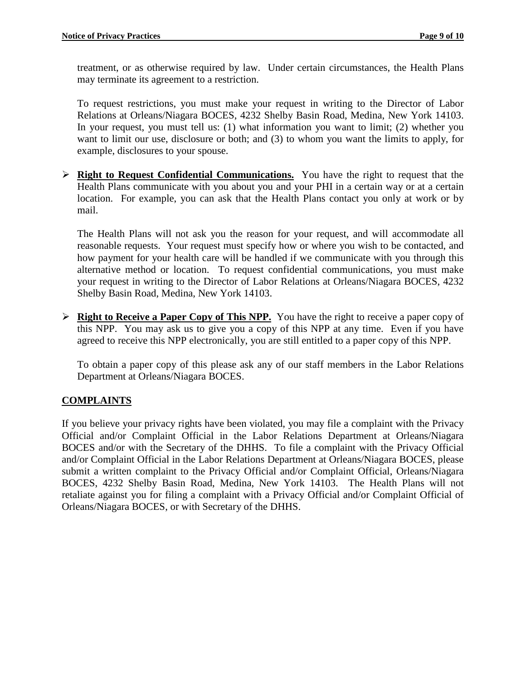treatment, or as otherwise required by law. Under certain circumstances, the Health Plans may terminate its agreement to a restriction.

To request restrictions, you must make your request in writing to the Director of Labor Relations at Orleans/Niagara BOCES, 4232 Shelby Basin Road, Medina, New York 14103. In your request, you must tell us: (1) what information you want to limit; (2) whether you want to limit our use, disclosure or both; and (3) to whom you want the limits to apply, for example, disclosures to your spouse.

 **Right to Request Confidential Communications.** You have the right to request that the Health Plans communicate with you about you and your PHI in a certain way or at a certain location. For example, you can ask that the Health Plans contact you only at work or by mail.

The Health Plans will not ask you the reason for your request, and will accommodate all reasonable requests. Your request must specify how or where you wish to be contacted, and how payment for your health care will be handled if we communicate with you through this alternative method or location. To request confidential communications, you must make your request in writing to the Director of Labor Relations at Orleans/Niagara BOCES, 4232 Shelby Basin Road, Medina, New York 14103.

 **Right to Receive a Paper Copy of This NPP.** You have the right to receive a paper copy of this NPP. You may ask us to give you a copy of this NPP at any time. Even if you have agreed to receive this NPP electronically, you are still entitled to a paper copy of this NPP.

To obtain a paper copy of this please ask any of our staff members in the Labor Relations Department at Orleans/Niagara BOCES.

# **COMPLAINTS**

If you believe your privacy rights have been violated, you may file a complaint with the Privacy Official and/or Complaint Official in the Labor Relations Department at Orleans/Niagara BOCES and/or with the Secretary of the DHHS. To file a complaint with the Privacy Official and/or Complaint Official in the Labor Relations Department at Orleans/Niagara BOCES, please submit a written complaint to the Privacy Official and/or Complaint Official, Orleans/Niagara BOCES, 4232 Shelby Basin Road, Medina, New York 14103. The Health Plans will not retaliate against you for filing a complaint with a Privacy Official and/or Complaint Official of Orleans/Niagara BOCES, or with Secretary of the DHHS.